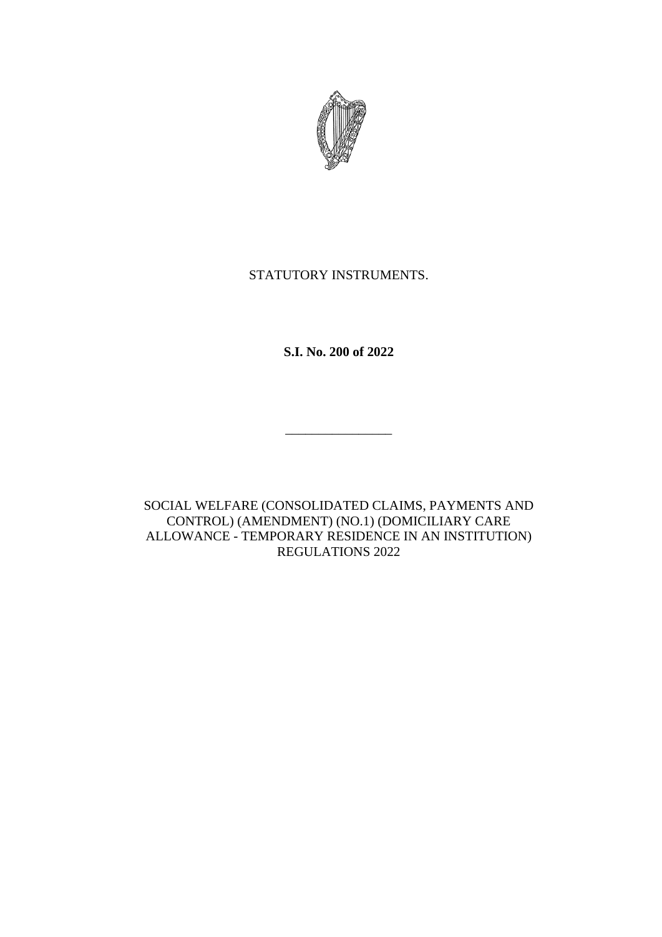

# STATUTORY INSTRUMENTS.

**S.I. No. 200 of 2022**

 $\mathcal{L}_\text{max}$ 

SOCIAL WELFARE (CONSOLIDATED CLAIMS, PAYMENTS AND CONTROL) (AMENDMENT) (NO.1) (DOMICILIARY CARE ALLOWANCE - TEMPORARY RESIDENCE IN AN INSTITUTION) REGULATIONS 2022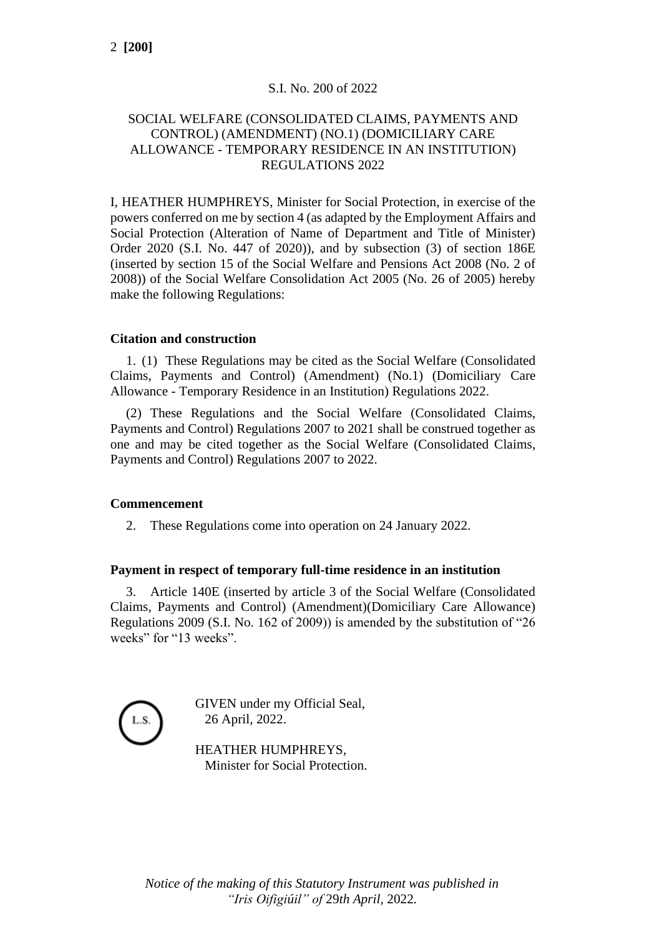# S.I. No. 200 of 2022

### SOCIAL WELFARE (CONSOLIDATED CLAIMS, PAYMENTS AND CONTROL) (AMENDMENT) (NO.1) (DOMICILIARY CARE ALLOWANCE - TEMPORARY RESIDENCE IN AN INSTITUTION) REGULATIONS 2022

I, HEATHER HUMPHREYS, Minister for Social Protection, in exercise of the powers conferred on me by section 4 (as adapted by the Employment Affairs and Social Protection (Alteration of Name of Department and Title of Minister) Order 2020 (S.I. No. 447 of 2020)), and by subsection (3) of section 186E (inserted by section 15 of the Social Welfare and Pensions Act 2008 (No. 2 of 2008)) of the Social Welfare Consolidation Act 2005 (No. 26 of 2005) hereby make the following Regulations:

#### **Citation and construction**

1. (1) These Regulations may be cited as the Social Welfare (Consolidated Claims, Payments and Control) (Amendment) (No.1) (Domiciliary Care Allowance - Temporary Residence in an Institution) Regulations 2022.

(2) These Regulations and the Social Welfare (Consolidated Claims, Payments and Control) Regulations 2007 to 2021 shall be construed together as one and may be cited together as the Social Welfare (Consolidated Claims, Payments and Control) Regulations 2007 to 2022.

#### **Commencement**

2. These Regulations come into operation on 24 January 2022.

### **Payment in respect of temporary full-time residence in an institution**

3. Article 140E (inserted by article 3 of the Social Welfare (Consolidated Claims, Payments and Control) (Amendment)(Domiciliary Care Allowance) Regulations 2009 (S.I. No. 162 of 2009)) is amended by the substitution of "26 weeks" for "13 weeks".



GIVEN under my Official Seal, 26 April, 2022.

HEATHER HUMPHREYS, Minister for Social Protection.

*Notice of the making of this Statutory Instrument was published in "Iris Oifigiúil" of* 29*th April,* 2022*.*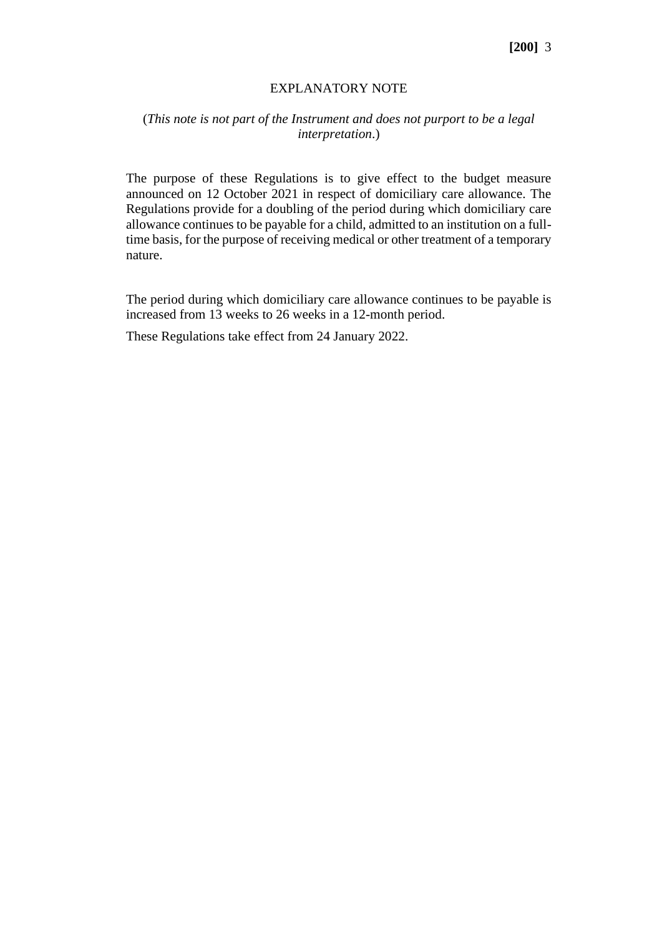#### EXPLANATORY NOTE

# (*This note is not part of the Instrument and does not purport to be a legal interpretation*.)

The purpose of these Regulations is to give effect to the budget measure announced on 12 October 2021 in respect of domiciliary care allowance. The Regulations provide for a doubling of the period during which domiciliary care allowance continues to be payable for a child, admitted to an institution on a fulltime basis, for the purpose of receiving medical or other treatment of a temporary nature.

The period during which domiciliary care allowance continues to be payable is increased from 13 weeks to 26 weeks in a 12-month period.

These Regulations take effect from 24 January 2022.